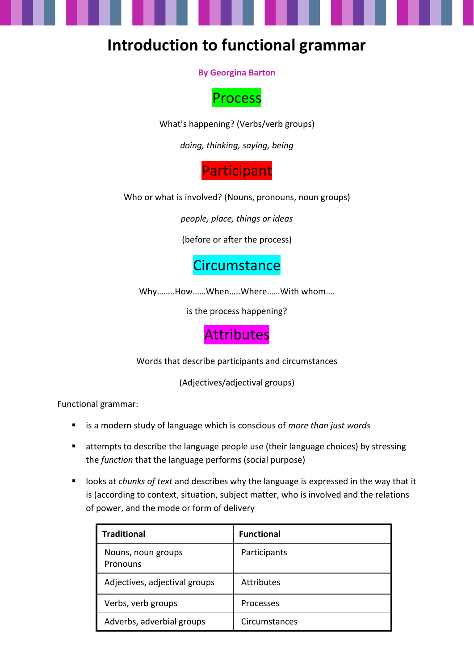### **Introduction to functional grammar**

**By Georgina Barton**



What's happening? (Verbs/verb groups)

*doing, thinking, saying, being*

**Participant** 

Who or what is involved? (Nouns, pronouns, noun groups)

*people, place, things or ideas*

(before or after the process)

#### **Circumstance**

Why……..How……When…..Where……With whom….

is the process happening?

#### **Attributes**

Words that describe participants and circumstances

(Adjectives/adjectival groups)

Functional grammar:

- is a modern study of language which is conscious of *more than just words*
- attempts to describe the language people use (their language choices) by stressing the *function* that the language performs (social purpose)
- looks at *chunks of text* and describes why the language is expressed in the way that it is (according to context, situation, subject matter, who is involved and the relations of power, and the mode or form of delivery

| <b>Traditional</b>             | <b>Functional</b> |
|--------------------------------|-------------------|
| Nouns, noun groups<br>Pronouns | Participants      |
| Adjectives, adjectival groups  | <b>Attributes</b> |
| Verbs, verb groups             | Processes         |
| Adverbs, adverbial groups      | Circumstances     |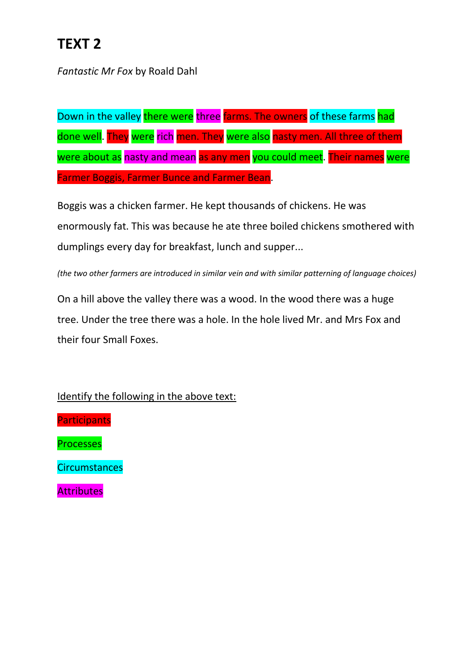# **TEXT 2**

*Fantastic Mr Fox* by Roald Dahl

Down in the valley there were three farms. The owners of these farms had done well. They were rich men. They were also nasty men. All three of them were about as nasty and mean as any men you could meet. Their names were Farmer Boggis, Farmer Bunce and Farmer Bean.

Boggis was a chicken farmer. He kept thousands of chickens. He was enormously fat. This was because he ate three boiled chickens smothered with dumplings every day for breakfast, lunch and supper...

*(the two other farmers are introduced in similar vein and with similar patterning of language choices)*

On a hill above the valley there was a wood. In the wood there was a huge tree. Under the tree there was a hole. In the hole lived Mr. and Mrs Fox and their four Small Foxes.

Identify the following in the above text:

**Participants** 

Processes

**Circumstances** 

**Attributes**